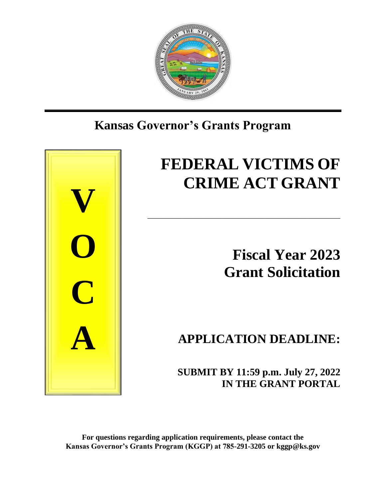

# **Kansas Governor's Grants Program**



# **FEDERAL VICTIMS OF CRIME ACT GRANT**

\_\_\_\_\_\_\_\_\_\_\_\_\_\_\_\_\_\_\_\_\_\_\_\_\_\_\_\_\_\_\_\_\_\_\_\_\_\_\_\_\_\_\_\_\_\_\_\_\_\_\_

**Fiscal Year 2023 Grant Solicitation**

**APPLICATION DEADLINE:**

 **SUBMIT BY 11:59 p.m. July 27, 2022 IN THE GRANT PORTAL**

**For questions regarding application requirements, please contact the Kansas Governor's Grants Program (KGGP) at 785-291-3205 or kggp@ks.gov**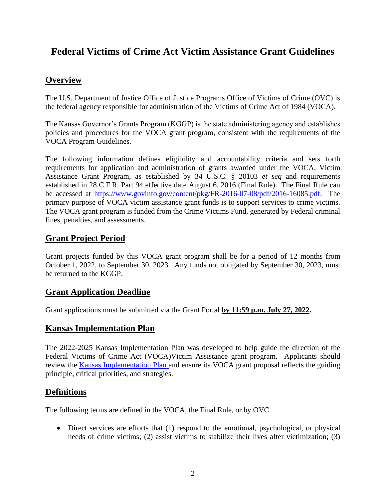# **Federal Victims of Crime Act Victim Assistance Grant Guidelines**

# **Overview**

The U.S. Department of Justice Office of Justice Programs Office of Victims of Crime (OVC) is the federal agency responsible for administration of the Victims of Crime Act of 1984 (VOCA).

The Kansas Governor's Grants Program (KGGP) is the state administering agency and establishes policies and procedures for the VOCA grant program, consistent with the requirements of the VOCA Program Guidelines.

The following information defines eligibility and accountability criteria and sets forth requirements for application and administration of grants awarded under the VOCA, Victim Assistance Grant Program, as established by 34 U.S.C. § 20103 *et seq* and requirements established in 28 C.F.R. Part 94 effective date August 6, 2016 (Final Rule). The Final Rule can be accessed at [https://www.govinfo.gov/content/pkg/FR-2016-07-08/pdf/2016-16085.pdf.](https://www.govinfo.gov/content/pkg/FR-2016-07-08/pdf/2016-16085.pdf) The primary purpose of VOCA victim assistance grant funds is to support services to crime victims. The VOCA grant program is funded from the Crime Victims Fund, generated by Federal criminal fines, penalties, and assessments.

# **Grant Project Period**

Grant projects funded by this VOCA grant program shall be for a period of 12 months from October 1, 2022, to September 30, 2023. Any funds not obligated by September 30, 2023, must be returned to the KGGP.

#### **Grant Application Deadline**

Grant applications must be submitted via the Grant Portal **by 11:59 p.m. July 27, 2022.**

#### **Kansas Implementation Plan**

The 2022-2025 Kansas Implementation Plan was developed to help guide the direction of the Federal Victims of Crime Act (VOCA)Victim Assistance grant program. Applicants should review the [Kansas Implementation Plan](https://grants.ks.gov/docs/librariesprovider22/grant-reports/kansas-implementation-plan-2022-2025.pdf?sfvrsn=ec529846_7) and ensure its VOCA grant proposal reflects the guiding principle, critical priorities, and strategies.

# **Definitions**

The following terms are defined in the VOCA, the Final Rule, or by OVC.

• Direct services are efforts that (1) respond to the emotional, psychological, or physical needs of crime victims; (2) assist victims to stabilize their lives after victimization; (3)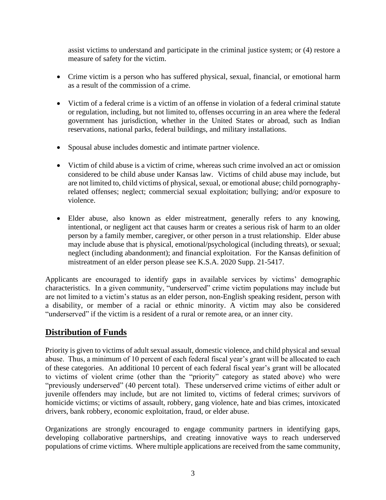assist victims to understand and participate in the criminal justice system; or (4) restore a measure of safety for the victim.

- Crime victim is a person who has suffered physical, sexual, financial, or emotional harm as a result of the commission of a crime.
- Victim of a federal crime is a victim of an offense in violation of a federal criminal statute or regulation, including, but not limited to, offenses occurring in an area where the federal government has jurisdiction, whether in the United States or abroad, such as Indian reservations, national parks, federal buildings, and military installations.
- Spousal abuse includes domestic and intimate partner violence.
- Victim of child abuse is a victim of crime, whereas such crime involved an act or omission considered to be child abuse under Kansas law. Victims of child abuse may include, but are not limited to, child victims of physical, sexual, or emotional abuse; child pornographyrelated offenses; neglect; commercial sexual exploitation; bullying; and/or exposure to violence.
- Elder abuse, also known as elder mistreatment, generally refers to any knowing, intentional, or negligent act that causes harm or creates a serious risk of harm to an older person by a family member, caregiver, or other person in a trust relationship. Elder abuse may include abuse that is physical, emotional/psychological (including threats), or sexual; neglect (including abandonment); and financial exploitation. For the Kansas definition of mistreatment of an elder person please see K.S.A. 2020 Supp. 21-5417.

Applicants are encouraged to identify gaps in available services by victims' demographic characteristics. In a given community, "underserved" crime victim populations may include but are not limited to a victim's status as an elder person, non-English speaking resident, person with a disability, or member of a racial or ethnic minority. A victim may also be considered "underserved" if the victim is a resident of a rural or remote area, or an inner city.

# **Distribution of Funds**

Priority is given to victims of adult sexual assault, domestic violence, and child physical and sexual abuse. Thus, a minimum of 10 percent of each federal fiscal year's grant will be allocated to each of these categories. An additional 10 percent of each federal fiscal year's grant will be allocated to victims of violent crime (other than the "priority" category as stated above) who were "previously underserved" (40 percent total). These underserved crime victims of either adult or juvenile offenders may include, but are not limited to, victims of federal crimes; survivors of homicide victims; or victims of assault, robbery, gang violence, hate and bias crimes, intoxicated drivers, bank robbery, economic exploitation, fraud, or elder abuse.

Organizations are strongly encouraged to engage community partners in identifying gaps, developing collaborative partnerships, and creating innovative ways to reach underserved populations of crime victims. Where multiple applications are received from the same community,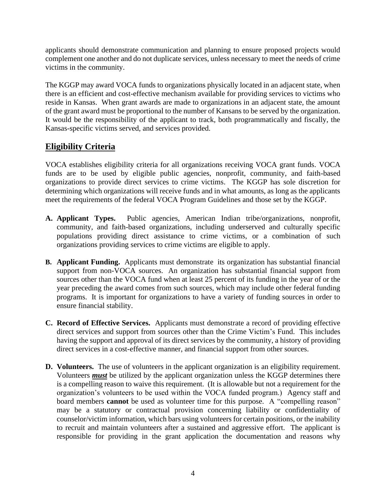applicants should demonstrate communication and planning to ensure proposed projects would complement one another and do not duplicate services, unless necessary to meet the needs of crime victims in the community.

The KGGP may award VOCA funds to organizations physically located in an adjacent state, when there is an efficient and cost-effective mechanism available for providing services to victims who reside in Kansas. When grant awards are made to organizations in an adjacent state, the amount of the grant award must be proportional to the number of Kansans to be served by the organization. It would be the responsibility of the applicant to track, both programmatically and fiscally, the Kansas-specific victims served, and services provided.

# **Eligibility Criteria**

VOCA establishes eligibility criteria for all organizations receiving VOCA grant funds. VOCA funds are to be used by eligible public agencies, nonprofit, community, and faith-based organizations to provide direct services to crime victims. The KGGP has sole discretion for determining which organizations will receive funds and in what amounts, as long as the applicants meet the requirements of the federal VOCA Program Guidelines and those set by the KGGP.

- **A. Applicant Types.** Public agencies, American Indian tribe/organizations, nonprofit, community, and faith-based organizations, including underserved and culturally specific populations providing direct assistance to crime victims, or a combination of such organizations providing services to crime victims are eligible to apply.
- **B. Applicant Funding.** Applicants must demonstrate its organization has substantial financial support from non-VOCA sources. An organization has substantial financial support from sources other than the VOCA fund when at least 25 percent of its funding in the year of or the year preceding the award comes from such sources, which may include other federal funding programs. It is important for organizations to have a variety of funding sources in order to ensure financial stability.
- **C. Record of Effective Services.** Applicants must demonstrate a record of providing effective direct services and support from sources other than the Crime Victim's Fund. This includes having the support and approval of its direct services by the community, a history of providing direct services in a cost-effective manner, and financial support from other sources.
- **D. Volunteers.** The use of volunteers in the applicant organization is an eligibility requirement. Volunteers *must* be utilized by the applicant organization unless the KGGP determines there is a compelling reason to waive this requirement. (It is allowable but not a requirement for the organization's volunteers to be used within the VOCA funded program.) Agency staff and board members **cannot** be used as volunteer time for this purpose. A "compelling reason" may be a statutory or contractual provision concerning liability or confidentiality of counselor/victim information, which bars using volunteers for certain positions, or the inability to recruit and maintain volunteers after a sustained and aggressive effort. The applicant is responsible for providing in the grant application the documentation and reasons why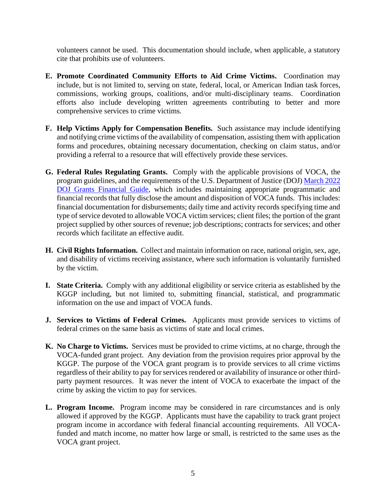volunteers cannot be used. This documentation should include, when applicable, a statutory cite that prohibits use of volunteers.

- **E. Promote Coordinated Community Efforts to Aid Crime Victims.** Coordination may include, but is not limited to, serving on state, federal, local, or American Indian task forces, commissions, working groups, coalitions, and/or multi-disciplinary teams. Coordination efforts also include developing written agreements contributing to better and more comprehensive services to crime victims.
- **F. Help Victims Apply for Compensation Benefits.** Such assistance may include identifying and notifying crime victims of the availability of compensation, assisting them with application forms and procedures, obtaining necessary documentation, checking on claim status, and/or providing a referral to a resource that will effectively provide these services.
- **G. Federal Rules Regulating Grants.** Comply with the applicable provisions of VOCA, the program guidelines, and the requirements of the U.S. Department of Justice (DOJ) [March 2022](https://www.ojp.gov/doj-financial-guide-2022)  [DOJ Grants Financial Guide,](https://www.ojp.gov/doj-financial-guide-2022) which includes maintaining appropriate programmatic and financial records that fully disclose the amount and disposition of VOCA funds. This includes: financial documentation for disbursements; daily time and activity records specifying time and type of service devoted to allowable VOCA victim services; client files; the portion of the grant project supplied by other sources of revenue; job descriptions; contracts for services; and other records which facilitate an effective audit.
- **H. Civil Rights Information.** Collect and maintain information on race, national origin, sex, age, and disability of victims receiving assistance, where such information is voluntarily furnished by the victim.
- **I. State Criteria.** Comply with any additional eligibility or service criteria as established by the KGGP including, but not limited to, submitting financial, statistical, and programmatic information on the use and impact of VOCA funds.
- **J. Services to Victims of Federal Crimes.** Applicants must provide services to victims of federal crimes on the same basis as victims of state and local crimes.
- **K. No Charge to Victims.** Services must be provided to crime victims, at no charge, through the VOCA-funded grant project. Any deviation from the provision requires prior approval by the KGGP. The purpose of the VOCA grant program is to provide services to all crime victims regardless of their ability to pay for services rendered or availability of insurance or other thirdparty payment resources. It was never the intent of VOCA to exacerbate the impact of the crime by asking the victim to pay for services.
- **L. Program Income.** Program income may be considered in rare circumstances and is only allowed if approved by the KGGP. Applicants must have the capability to track grant project program income in accordance with federal financial accounting requirements. All VOCAfunded and match income, no matter how large or small, is restricted to the same uses as the VOCA grant project.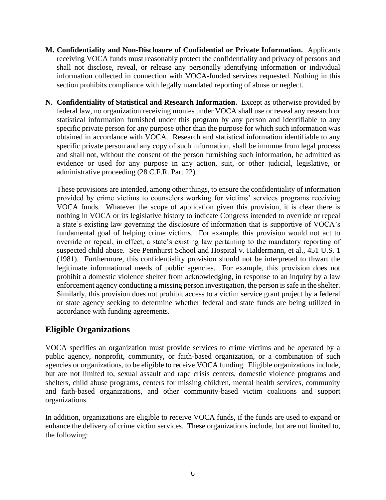- **M. Confidentiality and Non-Disclosure of Confidential or Private Information.** Applicants receiving VOCA funds must reasonably protect the confidentiality and privacy of persons and shall not disclose, reveal, or release any personally identifying information or individual information collected in connection with VOCA-funded services requested. Nothing in this section prohibits compliance with legally mandated reporting of abuse or neglect.
- **N. Confidentiality of Statistical and Research Information.** Except as otherwise provided by federal law, no organization receiving monies under VOCA shall use or reveal any research or statistical information furnished under this program by any person and identifiable to any specific private person for any purpose other than the purpose for which such information was obtained in accordance with VOCA. Research and statistical information identifiable to any specific private person and any copy of such information, shall be immune from legal process and shall not, without the consent of the person furnishing such information, be admitted as evidence or used for any purpose in any action, suit, or other judicial, legislative, or administrative proceeding (28 C.F.R. Part 22).

These provisions are intended, among other things, to ensure the confidentiality of information provided by crime victims to counselors working for victims' services programs receiving VOCA funds. Whatever the scope of application given this provision, it is clear there is nothing in VOCA or its legislative history to indicate Congress intended to override or repeal a state's existing law governing the disclosure of information that is supportive of VOCA's fundamental goal of helping crime victims. For example, this provision would not act to override or repeal, in effect, a state's existing law pertaining to the mandatory reporting of suspected child abuse. See Pennhurst School and Hospital v. Haldermann, et al., 451 U.S. 1 (1981). Furthermore, this confidentiality provision should not be interpreted to thwart the legitimate informational needs of public agencies. For example, this provision does not prohibit a domestic violence shelter from acknowledging, in response to an inquiry by a law enforcement agency conducting a missing person investigation, the person is safe in the shelter. Similarly, this provision does not prohibit access to a victim service grant project by a federal or state agency seeking to determine whether federal and state funds are being utilized in accordance with funding agreements.

# **Eligible Organizations**

VOCA specifies an organization must provide services to crime victims and be operated by a public agency, nonprofit, community, or faith-based organization, or a combination of such agencies or organizations, to be eligible to receive VOCA funding. Eligible organizations include, but are not limited to, sexual assault and rape crisis centers, domestic violence programs and shelters, child abuse programs, centers for missing children, mental health services, community and faith-based organizations, and other community-based victim coalitions and support organizations.

In addition, organizations are eligible to receive VOCA funds, if the funds are used to expand or enhance the delivery of crime victim services. These organizations include, but are not limited to, the following: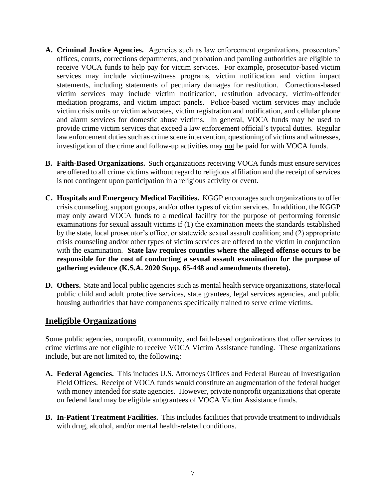- **A. Criminal Justice Agencies.** Agencies such as law enforcement organizations, prosecutors' offices, courts, corrections departments, and probation and paroling authorities are eligible to receive VOCA funds to help pay for victim services. For example, prosecutor-based victim services may include victim-witness programs, victim notification and victim impact statements, including statements of pecuniary damages for restitution. Corrections-based victim services may include victim notification, restitution advocacy, victim-offender mediation programs, and victim impact panels. Police-based victim services may include victim crisis units or victim advocates, victim registration and notification, and cellular phone and alarm services for domestic abuse victims. In general, VOCA funds may be used to provide crime victim services that exceed a law enforcement official's typical duties. Regular law enforcement duties such as crime scene intervention, questioning of victims and witnesses, investigation of the crime and follow-up activities may not be paid for with VOCA funds.
- **B. Faith-Based Organizations.** Such organizations receiving VOCA funds must ensure services are offered to all crime victims without regard to religious affiliation and the receipt of services is not contingent upon participation in a religious activity or event.
- **C. Hospitals and Emergency Medical Facilities.** KGGP encourages such organizations to offer crisis counseling, support groups, and/or other types of victim services. In addition, the KGGP may only award VOCA funds to a medical facility for the purpose of performing forensic examinations for sexual assault victims if (1) the examination meets the standards established by the state, local prosecutor's office, or statewide sexual assault coalition; and (2) appropriate crisis counseling and/or other types of victim services are offered to the victim in conjunction with the examination. **State law requires counties where the alleged offense occurs to be responsible for the cost of conducting a sexual assault examination for the purpose of gathering evidence (K.S.A. 2020 Supp. 65-448 and amendments thereto).**
- **D. Others.** State and local public agencies such as mental health service organizations, state/local public child and adult protective services, state grantees, legal services agencies, and public housing authorities that have components specifically trained to serve crime victims.

#### **Ineligible Organizations**

Some public agencies, nonprofit, community, and faith-based organizations that offer services to crime victims are not eligible to receive VOCA Victim Assistance funding. These organizations include, but are not limited to, the following:

- **A. Federal Agencies.** This includes U.S. Attorneys Offices and Federal Bureau of Investigation Field Offices. Receipt of VOCA funds would constitute an augmentation of the federal budget with money intended for state agencies. However, private nonprofit organizations that operate on federal land may be eligible subgrantees of VOCA Victim Assistance funds.
- **B. In-Patient Treatment Facilities.** This includes facilities that provide treatment to individuals with drug, alcohol, and/or mental health-related conditions.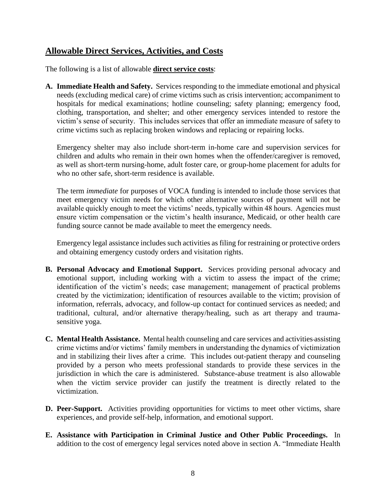# **Allowable Direct Services, Activities, and Costs**

The following is a list of allowable **direct service costs**:

**A. Immediate Health and Safety.** Services responding to the immediate emotional and physical needs (excluding medical care) of crime victims such as crisis intervention; accompaniment to hospitals for medical examinations; hotline counseling; safety planning; emergency food, clothing, transportation, and shelter; and other emergency services intended to restore the victim's sense of security. This includes services that offer an immediate measure of safety to crime victims such as replacing broken windows and replacing or repairing locks.

Emergency shelter may also include short-term in-home care and supervision services for children and adults who remain in their own homes when the offender/caregiver is removed, as well as short-term nursing-home, adult foster care, or group-home placement for adults for who no other safe, short-term residence is available.

The term *immediate* for purposes of VOCA funding is intended to include those services that meet emergency victim needs for which other alternative sources of payment will not be available quickly enough to meet the victims' needs, typically within 48 hours. Agencies must ensure victim compensation or the victim's health insurance, Medicaid, or other health care funding source cannot be made available to meet the emergency needs.

Emergency legal assistance includes such activities as filing for restraining or protective orders and obtaining emergency custody orders and visitation rights.

- **B. Personal Advocacy and Emotional Support.** Services providing personal advocacy and emotional support, including working with a victim to assess the impact of the crime; identification of the victim's needs; case management; management of practical problems created by the victimization; identification of resources available to the victim; provision of information, referrals, advocacy, and follow-up contact for continued services as needed; and traditional, cultural, and/or alternative therapy/healing, such as art therapy and traumasensitive yoga.
- **C. Mental Health Assistance.** Mental health counseling and care services and activities assisting crime victims and/or victims' family members in understanding the dynamics of victimization and in stabilizing their lives after a crime. This includes out-patient therapy and counseling provided by a person who meets professional standards to provide these services in the jurisdiction in which the care is administered. Substance-abuse treatment is also allowable when the victim service provider can justify the treatment is directly related to the victimization.
- **D. Peer-Support.** Activities providing opportunities for victims to meet other victims, share experiences, and provide self-help, information, and emotional support.
- **E. Assistance with Participation in Criminal Justice and Other Public Proceedings.** In addition to the cost of emergency legal services noted above in section A. "Immediate Health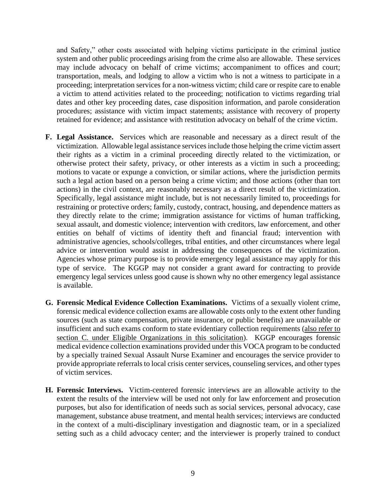and Safety," other costs associated with helping victims participate in the criminal justice system and other public proceedings arising from the crime also are allowable. These services may include advocacy on behalf of crime victims; accompaniment to offices and court; transportation, meals, and lodging to allow a victim who is not a witness to participate in a proceeding; interpretation services for a non-witness victim; child care or respite care to enable a victim to attend activities related to the proceeding; notification to victims regarding trial dates and other key proceeding dates, case disposition information, and parole consideration procedures; assistance with victim impact statements; assistance with recovery of property retained for evidence; and assistance with restitution advocacy on behalf of the crime victim.

- **F. Legal Assistance.** Services which are reasonable and necessary as a direct result of the victimization. Allowable legal assistance services include those helping the crime victim assert their rights as a victim in a criminal proceeding directly related to the victimization, or otherwise protect their safety, privacy, or other interests as a victim in such a proceeding; motions to vacate or expunge a conviction, or similar actions, where the jurisdiction permits such a legal action based on a person being a crime victim; and those actions (other than tort actions) in the civil context, are reasonably necessary as a direct result of the victimization. Specifically, legal assistance might include, but is not necessarily limited to, proceedings for restraining or protective orders; family, custody, contract, housing, and dependence matters as they directly relate to the crime; immigration assistance for victims of human trafficking, sexual assault, and domestic violence; intervention with creditors, law enforcement, and other entities on behalf of victims of identity theft and financial fraud; intervention with administrative agencies, schools/colleges, tribal entities, and other circumstances where legal advice or intervention would assist in addressing the consequences of the victimization. Agencies whose primary purpose is to provide emergency legal assistance may apply for this type of service. The KGGP may not consider a grant award for contracting to provide emergency legal services unless good cause is shown why no other emergency legal assistance is available.
- **G. Forensic Medical Evidence Collection Examinations.** Victims of a sexually violent crime, forensic medical evidence collection exams are allowable costs only to the extent other funding sources (such as state compensation, private insurance, or public benefits) are unavailable or insufficient and such exams conform to state evidentiary collection requirements (also refer to section C. under Eligible Organizations in this solicitation). KGGP encourages forensic medical evidence collection examinations provided under this VOCA program to be conducted by a specially trained Sexual Assault Nurse Examiner and encourages the service provider to provide appropriate referrals to local crisis center services, counseling services, and other types of victim services.
- **H. Forensic Interviews.** Victim-centered forensic interviews are an allowable activity to the extent the results of the interview will be used not only for law enforcement and prosecution purposes, but also for identification of needs such as social services, personal advocacy, case management, substance abuse treatment, and mental health services; interviews are conducted in the context of a multi-disciplinary investigation and diagnostic team, or in a specialized setting such as a child advocacy center; and the interviewer is properly trained to conduct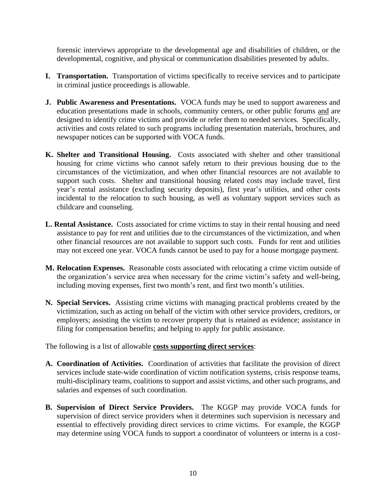forensic interviews appropriate to the developmental age and disabilities of children, or the developmental, cognitive, and physical or communication disabilities presented by adults.

- **I. Transportation.** Transportation of victims specifically to receive services and to participate in criminal justice proceedings is allowable.
- **J. Public Awareness and Presentations.** VOCA funds may be used to support awareness and education presentations made in schools, community centers, or other public forums and are designed to identify crime victims and provide or refer them to needed services. Specifically, activities and costs related to such programs including presentation materials, brochures, and newspaper notices can be supported with VOCA funds.
- **K. Shelter and Transitional Housing.** Costs associated with shelter and other transitional housing for crime victims who cannot safely return to their previous housing due to the circumstances of the victimization, and when other financial resources are not available to support such costs. Shelter and transitional housing related costs may include travel, first year's rental assistance (excluding security deposits), first year's utilities, and other costs incidental to the relocation to such housing, as well as voluntary support services such as childcare and counseling.
- **L. Rental Assistance.** Costs associated for crime victims to stay in their rental housing and need assistance to pay for rent and utilities due to the circumstances of the victimization, and when other financial resources are not available to support such costs. Funds for rent and utilities may not exceed one year. VOCA funds cannot be used to pay for a house mortgage payment.
- **M. Relocation Expenses.** Reasonable costs associated with relocating a crime victim outside of the organization's service area when necessary for the crime victim's safety and well-being, including moving expenses, first two month's rent, and first two month's utilities.
- **N. Special Services.** Assisting crime victims with managing practical problems created by the victimization, such as acting on behalf of the victim with other service providers, creditors, or employers; assisting the victim to recover property that is retained as evidence; assistance in filing for compensation benefits; and helping to apply for public assistance.

The following is a list of allowable **costs supporting direct services**:

- **A. Coordination of Activities.** Coordination of activities that facilitate the provision of direct services include state-wide coordination of victim notification systems, crisis response teams, multi-disciplinary teams, coalitions to support and assist victims, and other such programs, and salaries and expenses of such coordination.
- **B. Supervision of Direct Service Providers.** The KGGP may provide VOCA funds for supervision of direct service providers when it determines such supervision is necessary and essential to effectively providing direct services to crime victims. For example, the KGGP may determine using VOCA funds to support a coordinator of volunteers or interns is a cost-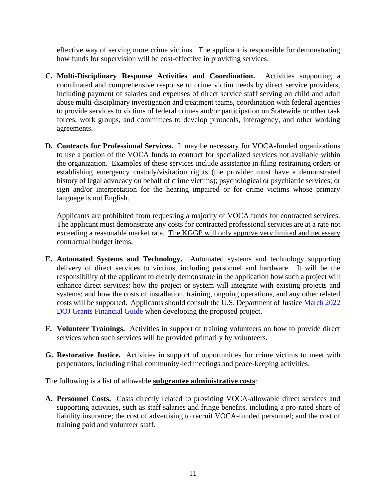effective way of serving more crime victims. The applicant is responsible for demonstrating how funds for supervision will be cost-effective in providing services.

- **C. Multi-Disciplinary Response Activities and Coordination.** Activities supporting a coordinated and comprehensive response to crime victim needs by direct service providers, including payment of salaries and expenses of direct service staff serving on child and adult abuse multi-disciplinary investigation and treatment teams, coordination with federal agencies to provide services to victims of federal crimes and/or participation on Statewide or other task forces, work groups, and committees to develop protocols, interagency, and other working agreements.
- **D. Contracts for Professional Services.** It may be necessary for VOCA-funded organizations to use a portion of the VOCA funds to contract for specialized services not available within the organization. Examples of these services include assistance in filing restraining orders or establishing emergency custody/visitation rights (the provider must have a demonstrated history of legal advocacy on behalf of crime victims); psychological or psychiatric services; or sign and/or interpretation for the hearing impaired or for crime victims whose primary language is not English.

Applicants are prohibited from requesting a majority of VOCA funds for contracted services. The applicant must demonstrate any costs for contracted professional services are at a rate not exceeding a reasonable market rate. The KGGP will only approve very limited and necessary contractual budget items.

- **E. Automated Systems and Technology.** Automated systems and technology supporting delivery of direct services to victims, including personnel and hardware. It will be the responsibility of the applicant to clearly demonstrate in the application how such a project will enhance direct services; how the project or system will integrate with existing projects and systems; and how the costs of installation, training, ongoing operations, and any other related costs will be supported. Applicants should consult the U.S. Department of Justice [March 2022](https://www.ojp.gov/doj-financial-guide-2022)  [DOJ Grants Financial Guide](https://www.ojp.gov/doj-financial-guide-2022) when developing the proposed project.
- **F. Volunteer Trainings.** Activities in support of training volunteers on how to provide direct services when such services will be provided primarily by volunteers.
- **G. Restorative Justice.** Activities in support of opportunities for crime victims to meet with perpetrators, including tribal community-led meetings and peace-keeping activities.

The following is a list of allowable **subgrantee administrative costs**:

**A. Personnel Costs.** Costs directly related to providing VOCA-allowable direct services and supporting activities, such as staff salaries and fringe benefits, including a pro-rated share of liability insurance; the cost of advertising to recruit VOCA-funded personnel; and the cost of training paid and volunteer staff.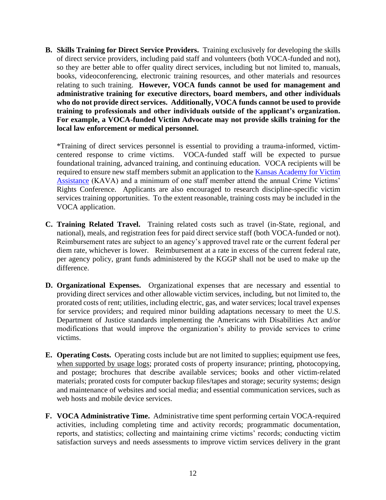**B. Skills Training for Direct Service Providers.** Training exclusively for developing the skills of direct service providers, including paid staff and volunteers (both VOCA-funded and not), so they are better able to offer quality direct services, including but not limited to, manuals, books, videoconferencing, electronic training resources, and other materials and resources relating to such training. **However, VOCA funds cannot be used for management and administrative training for executive directors, board members, and other individuals who do not provide direct services. Additionally, VOCA funds cannot be used to provide training to professionals and other individuals outside of the applicant's organization. For example, a VOCA-funded Victim Advocate may not provide skills training for the local law enforcement or medical personnel.**

\*Training of direct services personnel is essential to providing a trauma-informed, victimcentered response to crime victims. VOCA-funded staff will be expected to pursue foundational training, advanced training, and continuing education. VOCA recipients will be required to ensure new staff members submit an application to the Kansas Academy for Victim [Assistance](https://www.surveymonkey.com/r/7YVNLXQ) (KAVA) and a minimum of one staff member attend the annual Crime Victims' Rights Conference. Applicants are also encouraged to research discipline-specific victim services training opportunities. To the extent reasonable, training costs may be included in the VOCA application.

- **C. Training Related Travel.** Training related costs such as travel (in-State, regional, and national), meals, and registration fees for paid direct service staff (both VOCA-funded or not). Reimbursement rates are subject to an agency's approved travel rate or the current federal per diem rate, whichever is lower. Reimbursement at a rate in excess of the current federal rate, per agency policy, grant funds administered by the KGGP shall not be used to make up the difference.
- **D. Organizational Expenses.** Organizational expenses that are necessary and essential to providing direct services and other allowable victim services, including, but not limited to, the prorated costs of rent; utilities, including electric, gas, and water services; local travel expenses for service providers; and required minor building adaptations necessary to meet the U.S. Department of Justice standards implementing the Americans with Disabilities Act and/or modifications that would improve the organization's ability to provide services to crime victims.
- **E. Operating Costs.** Operating costs include but are not limited to supplies; equipment use fees, when supported by usage logs; prorated costs of property insurance; printing, photocopying, and postage; brochures that describe available services; books and other victim-related materials; prorated costs for computer backup files/tapes and storage; security systems; design and maintenance of websites and social media; and essential communication services, such as web hosts and mobile device services.
- **F. VOCA Administrative Time.** Administrative time spent performing certain VOCA-required activities, including completing time and activity records; programmatic documentation, reports, and statistics; collecting and maintaining crime victims' records; conducting victim satisfaction surveys and needs assessments to improve victim services delivery in the grant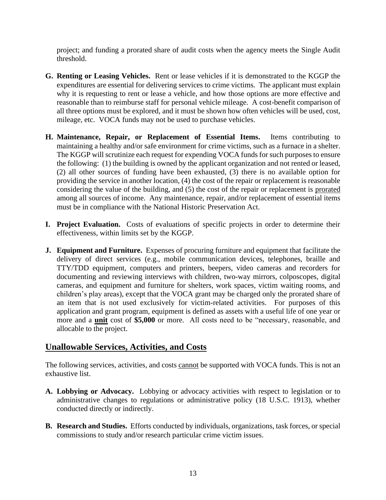project; and funding a prorated share of audit costs when the agency meets the Single Audit threshold.

- **G. Renting or Leasing Vehicles.** Rent or lease vehicles if it is demonstrated to the KGGP the expenditures are essential for delivering services to crime victims. The applicant must explain why it is requesting to rent or lease a vehicle, and how those options are more effective and reasonable than to reimburse staff for personal vehicle mileage. A cost-benefit comparison of all three options must be explored, and it must be shown how often vehicles will be used, cost, mileage, etc. VOCA funds may not be used to purchase vehicles.
- **H. Maintenance, Repair, or Replacement of Essential Items.** Items contributing to maintaining a healthy and/or safe environment for crime victims, such as a furnace in a shelter. The KGGP will scrutinize each request for expending VOCA funds for such purposes to ensure the following: (1) the building is owned by the applicant organization and not rented or leased, (2) all other sources of funding have been exhausted, (3) there is no available option for providing the service in another location, (4) the cost of the repair or replacement is reasonable considering the value of the building, and (5) the cost of the repair or replacement is prorated among all sources of income. Any maintenance, repair, and/or replacement of essential items must be in compliance with the National Historic Preservation Act.
- **I. Project Evaluation.** Costs of evaluations of specific projects in order to determine their effectiveness, within limits set by the KGGP.
- **J. Equipment and Furniture.** Expenses of procuring furniture and equipment that facilitate the delivery of direct services (e.g., mobile communication devices, telephones, braille and TTY/TDD equipment, computers and printers, beepers, video cameras and recorders for documenting and reviewing interviews with children, two-way mirrors, colposcopes, digital cameras, and equipment and furniture for shelters, work spaces, victim waiting rooms, and children's play areas), except that the VOCA grant may be charged only the prorated share of an item that is not used exclusively for victim-related activities. For purposes of this application and grant program, equipment is defined as assets with a useful life of one year or more and a **unit** cost of **\$5,000** or more. All costs need to be "necessary, reasonable, and allocable to the project.

# **Unallowable Services, Activities, and Costs**

The following services, activities, and costs cannot be supported with VOCA funds. This is not an exhaustive list.

- **A. Lobbying or Advocacy.** Lobbying or advocacy activities with respect to legislation or to administrative changes to regulations or administrative policy (18 U.S.C. 1913), whether conducted directly or indirectly.
- **B. Research and Studies.** Efforts conducted by individuals, organizations, task forces, or special commissions to study and/or research particular crime victim issues.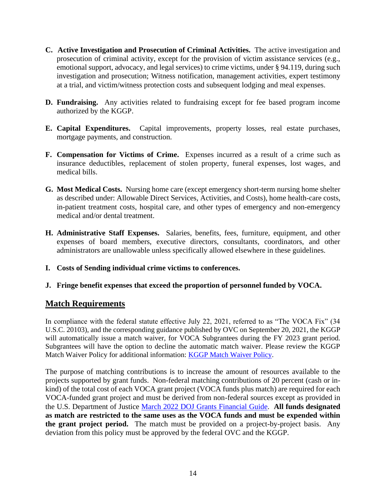- **C. Active Investigation and Prosecution of Criminal Activities.** The active investigation and prosecution of criminal activity, except for the provision of victim assistance services (e.g., emotional support, advocacy, and legal services) to crime victims, under § 94.119, during such investigation and prosecution; Witness notification, management activities, expert testimony at a trial, and victim/witness protection costs and subsequent lodging and meal expenses.
- **D. Fundraising.** Any activities related to fundraising except for fee based program income authorized by the KGGP.
- **E. Capital Expenditures.** Capital improvements, property losses, real estate purchases, mortgage payments, and construction.
- **F. Compensation for Victims of Crime.** Expenses incurred as a result of a crime such as insurance deductibles, replacement of stolen property, funeral expenses, lost wages, and medical bills.
- **G. Most Medical Costs.** Nursing home care (except emergency short-term nursing home shelter as described under: Allowable Direct Services, Activities, and Costs), home health-care costs, in-patient treatment costs, hospital care, and other types of emergency and non-emergency medical and/or dental treatment.
- **H. Administrative Staff Expenses.** Salaries, benefits, fees, furniture, equipment, and other expenses of board members, executive directors, consultants, coordinators, and other administrators are unallowable unless specifically allowed elsewhere in these guidelines.
- **I. Costs of Sending individual crime victims to conferences.**
- **J. Fringe benefit expenses that exceed the proportion of personnel funded by VOCA.**

#### **Match Requirements**

In compliance with the federal statute effective July 22, 2021, referred to as "The VOCA Fix" (34 U.S.C. 20103), and the corresponding guidance published by OVC on September 20, 2021, the KGGP will automatically issue a match waiver, for VOCA Subgrantees during the FY 2023 grant period. Subgrantees will have the option to decline the automatic match waiver. Please review the KGGP Match Waiver Policy for additional information: [KGGP Match Waiver Policy.](https://grants.ks.gov/docs/librariesprovider22/voca/kansas-voca-match-waiver-policy-revised-9.27.21.pdf?sfvrsn=84499ecf_3)

The purpose of matching contributions is to increase the amount of resources available to the projects supported by grant funds. Non-federal matching contributions of 20 percent (cash or inkind) of the total cost of each VOCA grant project (VOCA funds plus match) are required for each VOCA-funded grant project and must be derived from non-federal sources except as provided in the U.S. Department of Justice [March 2022 DOJ Grants Financial Guide.](https://www.ojp.gov/doj-financial-guide-2022) **All funds designated as match are restricted to the same uses as the VOCA funds and must be expended within the grant project period.** The match must be provided on a project-by-project basis. Any deviation from this policy must be approved by the federal OVC and the KGGP.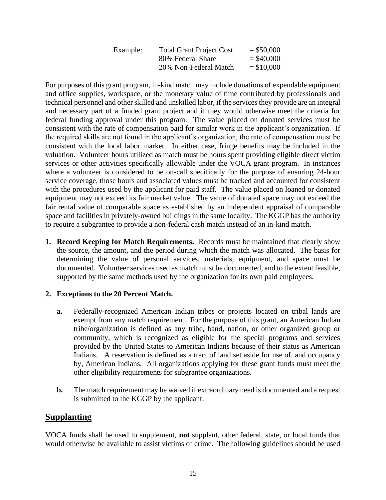| Example: | <b>Total Grant Project Cost</b> | $=$ \$50,000 |
|----------|---------------------------------|--------------|
|          | 80% Federal Share               | $=$ \$40,000 |
|          | 20% Non-Federal Match           | $=$ \$10,000 |

For purposes of this grant program, in-kind match may include donations of expendable equipment and office supplies, workspace, or the monetary value of time contributed by professionals and technical personnel and other skilled and unskilled labor, if the services they provide are an integral and necessary part of a funded grant project and if they would otherwise meet the criteria for federal funding approval under this program. The value placed on donated services must be consistent with the rate of compensation paid for similar work in the applicant's organization. If the required skills are not found in the applicant's organization, the rate of compensation must be consistent with the local labor market. In either case, fringe benefits may be included in the valuation. Volunteer hours utilized as match must be hours spent providing eligible direct victim services or other activities specifically allowable under the VOCA grant program. In instances where a volunteer is considered to be on-call specifically for the purpose of ensuring 24-hour service coverage, those hours and associated values must be tracked and accounted for consistent with the procedures used by the applicant for paid staff. The value placed on loaned or donated equipment may not exceed its fair market value. The value of donated space may not exceed the fair rental value of comparable space as established by an independent appraisal of comparable space and facilities in privately-owned buildings in the same locality. The KGGP has the authority to require a subgrantee to provide a non-federal cash match instead of an in-kind match.

**1. Record Keeping for Match Requirements.** Records must be maintained that clearly show the source, the amount, and the period during which the match was allocated. The basis for determining the value of personal services, materials, equipment, and space must be documented. Volunteer services used as match must be documented, and to the extent feasible, supported by the same methods used by the organization for its own paid employees.

#### **2. Exceptions to the 20 Percent Match.**

- **a.** Federally-recognized American Indian tribes or projects located on tribal lands are exempt from any match requirement. For the purpose of this grant, an American Indian tribe/organization is defined as any tribe, band, nation, or other organized group or community, which is recognized as eligible for the special programs and services provided by the United States to American Indians because of their status as American Indians. A reservation is defined as a tract of land set aside for use of, and occupancy by, American Indians. All organizations applying for these grant funds must meet the other eligibility requirements for subgrantee organizations.
- **b.** The match requirement may be waived if extraordinary need is documented and a request is submitted to the KGGP by the applicant.

#### **Supplanting**

VOCA funds shall be used to supplement, **not** supplant, other federal, state, or local funds that would otherwise be available to assist victims of crime. The following guidelines should be used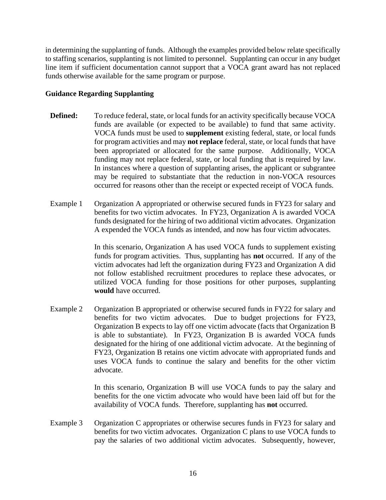in determining the supplanting of funds. Although the examples provided below relate specifically to staffing scenarios, supplanting is not limited to personnel. Supplanting can occur in any budget line item if sufficient documentation cannot support that a VOCA grant award has not replaced funds otherwise available for the same program or purpose.

#### **Guidance Regarding Supplanting**

- **Defined:** To reduce federal, state, or local funds for an activity specifically because VOCA funds are available (or expected to be available) to fund that same activity. VOCA funds must be used to **supplement** existing federal, state, or local funds for program activities and may **not replace** federal, state, or local funds that have been appropriated or allocated for the same purpose. Additionally, VOCA funding may not replace federal, state, or local funding that is required by law. In instances where a question of supplanting arises, the applicant or subgrantee may be required to substantiate that the reduction in non-VOCA resources occurred for reasons other than the receipt or expected receipt of VOCA funds.
- Example 1 Organization A appropriated or otherwise secured funds in FY23 for salary and benefits for two victim advocates. In FY23, Organization A is awarded VOCA funds designated for the hiring of two additional victim advocates. Organization A expended the VOCA funds as intended, and now has four victim advocates.

In this scenario, Organization A has used VOCA funds to supplement existing funds for program activities. Thus, supplanting has **not** occurred. If any of the victim advocates had left the organization during FY23 and Organization A did not follow established recruitment procedures to replace these advocates, or utilized VOCA funding for those positions for other purposes, supplanting **would** have occurred.

Example 2 Organization B appropriated or otherwise secured funds in FY22 for salary and benefits for two victim advocates. Due to budget projections for FY23, Organization B expects to lay off one victim advocate (facts that Organization B is able to substantiate). In FY23, Organization B is awarded VOCA funds designated for the hiring of one additional victim advocate. At the beginning of FY23, Organization B retains one victim advocate with appropriated funds and uses VOCA funds to continue the salary and benefits for the other victim advocate.

> In this scenario, Organization B will use VOCA funds to pay the salary and benefits for the one victim advocate who would have been laid off but for the availability of VOCA funds. Therefore, supplanting has **not** occurred.

Example 3 Organization C appropriates or otherwise secures funds in FY23 for salary and benefits for two victim advocates. Organization C plans to use VOCA funds to pay the salaries of two additional victim advocates. Subsequently, however,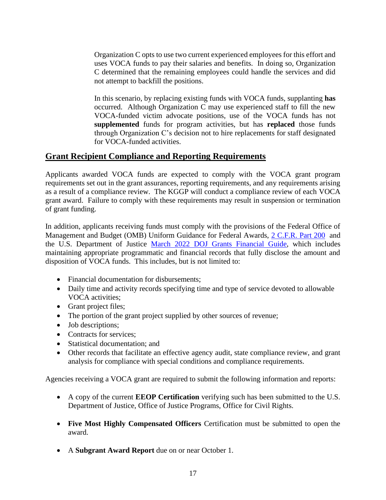Organization C opts to use two current experienced employees for this effort and uses VOCA funds to pay their salaries and benefits. In doing so, Organization C determined that the remaining employees could handle the services and did not attempt to backfill the positions.

In this scenario, by replacing existing funds with VOCA funds, supplanting **has** occurred. Although Organization C may use experienced staff to fill the new VOCA-funded victim advocate positions, use of the VOCA funds has not **supplemented** funds for program activities, but has **replaced** those funds through Organization C's decision not to hire replacements for staff designated for VOCA-funded activities.

# **Grant Recipient Compliance and Reporting Requirements**

Applicants awarded VOCA funds are expected to comply with the VOCA grant program requirements set out in the grant assurances, reporting requirements, and any requirements arising as a result of a compliance review. The KGGP will conduct a compliance review of each VOCA grant award. Failure to comply with these requirements may result in suspension or termination of grant funding.

In addition, applicants receiving funds must comply with the provisions of the Federal Office of Management and Budget (OMB) Uniform Guidance for Federal Awards, [2 C.F.R. Part 200](http://www.ecfr.gov/cgi-bin/text-idx?SID=2c6d1c9f8de1f9619110b4599d84a234&mc=true&node=pt2.1.200&rgn=div5#_top) and the U.S. Department of Justice [March 2022 DOJ Grants Financial Guide,](https://www.ojp.gov/doj-financial-guide-2022) which includes maintaining appropriate programmatic and financial records that fully disclose the amount and disposition of VOCA funds. This includes, but is not limited to:

- Financial documentation for disbursements:
- Daily time and activity records specifying time and type of service devoted to allowable VOCA activities;
- Grant project files;
- The portion of the grant project supplied by other sources of revenue;
- Job descriptions;
- Contracts for services:
- Statistical documentation; and
- Other records that facilitate an effective agency audit, state compliance review, and grant analysis for compliance with special conditions and compliance requirements.

Agencies receiving a VOCA grant are required to submit the following information and reports:

- A copy of the current **EEOP Certification** verifying such has been submitted to the U.S. Department of Justice, Office of Justice Programs, Office for Civil Rights.
- **Five Most Highly Compensated Officers** Certification must be submitted to open the award.
- A **Subgrant Award Report** due on or near October 1.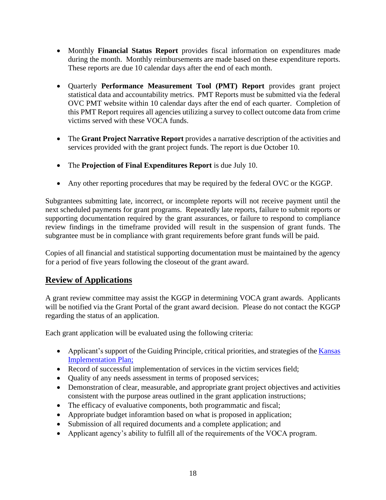- Monthly **Financial Status Report** provides fiscal information on expenditures made during the month. Monthly reimbursements are made based on these expenditure reports. These reports are due 10 calendar days after the end of each month.
- Quarterly **Performance Measurement Tool (PMT) Report** provides grant project statistical data and accountability metrics. PMT Reports must be submitted via the federal OVC PMT website within 10 calendar days after the end of each quarter. Completion of this PMT Report requires all agencies utilizing a survey to collect outcome data from crime victims served with these VOCA funds.
- The **Grant Project Narrative Report** provides a narrative description of the activities and services provided with the grant project funds. The report is due October 10.
- The **Projection of Final Expenditures Report** is due July 10.
- Any other reporting procedures that may be required by the federal OVC or the KGGP.

Subgrantees submitting late, incorrect, or incomplete reports will not receive payment until the next scheduled payments for grant programs. Repeatedly late reports, failure to submit reports or supporting documentation required by the grant assurances, or failure to respond to compliance review findings in the timeframe provided will result in the suspension of grant funds. The subgrantee must be in compliance with grant requirements before grant funds will be paid.

Copies of all financial and statistical supporting documentation must be maintained by the agency for a period of five years following the closeout of the grant award.

# **Review of Applications**

A grant review committee may assist the KGGP in determining VOCA grant awards. Applicants will be notified via the Grant Portal of the grant award decision. Please do not contact the KGGP regarding the status of an application.

Each grant application will be evaluated using the following criteria:

- Applicant's support of the Guiding Principle, critical priorities, and strategies of the Kansas [Implementation Plan;](http://www.grants.ks.gov/docs/default-source/Grant-Reports/final-ffy-2017-2020-stop-vawa-implementation-plan.pdf?sfvrsn=2)
- Record of successful implementation of services in the victim services field;
- Quality of any needs assessment in terms of proposed services;
- Demonstration of clear, measurable, and appropriate grant project objectives and activities consistent with the purpose areas outlined in the grant application instructions;
- The efficacy of evaluative components, both programmatic and fiscal;
- Appropriate budget inforamtion based on what is proposed in application;
- Submission of all required documents and a complete application; and
- Applicant agency's ability to fulfill all of the requirements of the VOCA program.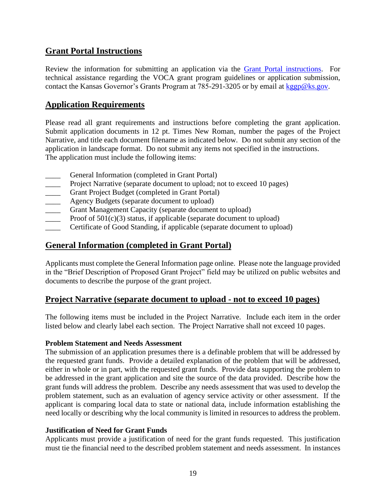# **Grant Portal Instructions**

Review the information for submitting an application via the [Grant Portal instructions.](http://grants.ks.gov/docs/default-source/how-to-guides/application-portal-instructions.pdf?sfvrsn=4) For technical assistance regarding the VOCA grant program guidelines or application submission, contact the Kansas Governor's Grants Program at 785-291-3205 or by email at [kggp@ks.gov.](mailto:kggp@ks.gov)

#### **Application Requirements**

Please read all grant requirements and instructions before completing the grant application. Submit application documents in 12 pt. Times New Roman, number the pages of the Project Narrative, and title each document filename as indicated below. Do not submit any section of the application in landscape format. Do not submit any items not specified in the instructions. The application must include the following items:

- General Information (completed in Grant Portal)
- **EXECUTE:** Project Narrative (separate document to upload; not to exceed 10 pages)
- Grant Project Budget (completed in Grant Portal)
- **EXECUTE:** Agency Budgets (separate document to upload)
- Grant Management Capacity (separate document to upload)
- Proof of  $501(c)(3)$  status, if applicable (separate document to upload)
- Certificate of Good Standing, if applicable (separate document to upload)

# **General Information (completed in Grant Portal)**

Applicants must complete the General Information page online. Please note the language provided in the "Brief Description of Proposed Grant Project" field may be utilized on public websites and documents to describe the purpose of the grant project.

# **Project Narrative (separate document to upload - not to exceed 10 pages)**

The following items must be included in the Project Narrative. Include each item in the order listed below and clearly label each section. The Project Narrative shall not exceed 10 pages.

#### **Problem Statement and Needs Assessment**

The submission of an application presumes there is a definable problem that will be addressed by the requested grant funds. Provide a detailed explanation of the problem that will be addressed, either in whole or in part, with the requested grant funds. Provide data supporting the problem to be addressed in the grant application and site the source of the data provided. Describe how the grant funds will address the problem. Describe any needs assessment that was used to develop the problem statement, such as an evaluation of agency service activity or other assessment. If the applicant is comparing local data to state or national data, include information establishing the need locally or describing why the local community is limited in resources to address the problem.

#### **Justification of Need for Grant Funds**

Applicants must provide a justification of need for the grant funds requested. This justification must tie the financial need to the described problem statement and needs assessment. In instances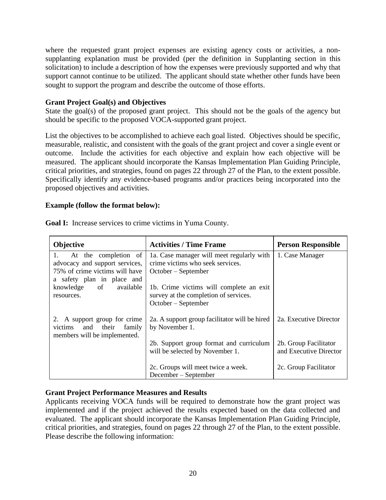where the requested grant project expenses are existing agency costs or activities, a nonsupplanting explanation must be provided (per the definition in Supplanting section in this solicitation) to include a description of how the expenses were previously supported and why that support cannot continue to be utilized. The applicant should state whether other funds have been sought to support the program and describe the outcome of those efforts.

#### **Grant Project Goal(s) and Objectives**

State the goal(s) of the proposed grant project. This should not be the goals of the agency but should be specific to the proposed VOCA-supported grant project.

List the objectives to be accomplished to achieve each goal listed. Objectives should be specific, measurable, realistic, and consistent with the goals of the grant project and cover a single event or outcome. Include the activities for each objective and explain how each objective will be measured. The applicant should incorporate the Kansas Implementation Plan Guiding Principle, critical priorities, and strategies, found on pages 22 through 27 of the Plan, to the extent possible. Specifically identify any evidence-based programs and/or practices being incorporated into the proposed objectives and activities.

#### **Example (follow the format below):**

| Objective                                                                                                                    | <b>Activities / Time Frame</b>                                                                          | <b>Person Responsible</b>                       |  |
|------------------------------------------------------------------------------------------------------------------------------|---------------------------------------------------------------------------------------------------------|-------------------------------------------------|--|
| At the completion of<br>1.<br>advocacy and support services,<br>75% of crime victims will have<br>a safety plan in place and | 1a. Case manager will meet regularly with<br>crime victims who seek services.<br>$October - September$  | 1. Case Manager                                 |  |
| knowledge of<br>available<br>resources.                                                                                      | 1b. Crime victims will complete an exit<br>survey at the completion of services.<br>October – September |                                                 |  |
| 2. A support group for crime<br>victims and their<br>family<br>members will be implemented.                                  | 2a. A support group facilitator will be hired<br>by November 1.                                         | 2a. Executive Director                          |  |
|                                                                                                                              | 2b. Support group format and curriculum<br>will be selected by November 1.                              | 2b. Group Facilitator<br>and Executive Director |  |
|                                                                                                                              | 2c. Groups will meet twice a week.<br>December – September                                              | 2c. Group Facilitator                           |  |

**Goal I:** Increase services to crime victims in Yuma County.

#### **Grant Project Performance Measures and Results**

Applicants receiving VOCA funds will be required to demonstrate how the grant project was implemented and if the project achieved the results expected based on the data collected and evaluated. The applicant should incorporate the Kansas Implementation Plan Guiding Principle, critical priorities, and strategies, found on pages 22 through 27 of the Plan, to the extent possible. Please describe the following information: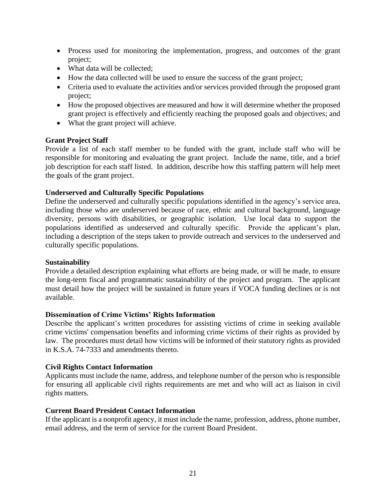- Process used for monitoring the implementation, progress, and outcomes of the grant project;
- What data will be collected:
- How the data collected will be used to ensure the success of the grant project;
- Criteria used to evaluate the activities and/or services provided through the proposed grant project;
- How the proposed objectives are measured and how it will determine whether the proposed grant project is effectively and efficiently reaching the proposed goals and objectives; and
- What the grant project will achieve.

#### **Grant Project Staff**

Provide a list of each staff member to be funded with the grant, include staff who will be responsible for monitoring and evaluating the grant project. Include the name, title, and a brief job description for each staff listed. In addition, describe how this staffing pattern will help meet the goals of the grant project.

#### **Underserved and Culturally Specific Populations**

Define the underserved and culturally specific populations identified in the agency's service area, including those who are underserved because of race, ethnic and cultural background, language diversity, persons with disabilities, or geographic isolation. Use local data to support the populations identified as underserved and culturally specific. Provide the applicant's plan, including a description of the steps taken to provide outreach and services to the underserved and culturally specific populations.

#### **Sustainability**

Provide a detailed description explaining what efforts are being made, or will be made, to ensure the long-term fiscal and programmatic sustainability of the project and program. The applicant must detail how the project will be sustained in future years if VOCA funding declines or is not available.

#### **Dissemination of Crime Victims' Rights Information**

Describe the applicant's written procedures for assisting victims of crime in seeking available crime victims' compensation benefits and informing crime victims of their rights as provided by law. The procedures must detail how victims will be informed of their statutory rights as provided in K.S.A. 74-7333 and amendments thereto.

#### **Civil Rights Contact Information**

Applicants must include the name, address, and telephone number of the person who is responsible for ensuring all applicable civil rights requirements are met and who will act as liaison in civil rights matters.

#### **Current Board President Contact Information**

If the applicant is a nonprofit agency, it must include the name, profession, address, phone number, email address, and the term of service for the current Board President.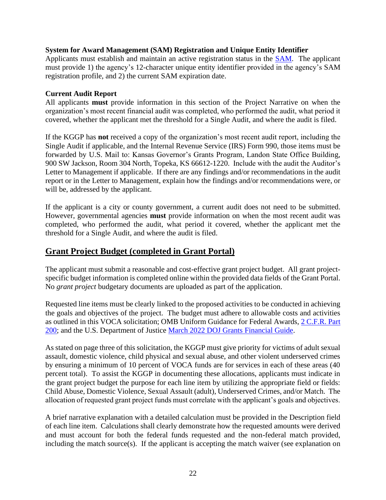#### **System for Award Management (SAM) Registration and Unique Entity Identifier**

Applicants must establish and maintain an active registration status in the [SAM.](https://www.sam.gov/) The applicant must provide 1) the agency's 12-character unique entity identifier provided in the agency's SAM registration profile, and 2) the current SAM expiration date.

#### **Current Audit Report**

All applicants **must** provide information in this section of the Project Narrative on when the organization's most recent financial audit was completed, who performed the audit, what period it covered, whether the applicant met the threshold for a Single Audit, and where the audit is filed.

If the KGGP has **not** received a copy of the organization's most recent audit report, including the Single Audit if applicable, and the Internal Revenue Service (IRS) Form 990, those items must be forwarded by U.S. Mail to: Kansas Governor's Grants Program, Landon State Office Building, 900 SW Jackson, Room 304 North, Topeka, KS 66612-1220. Include with the audit the Auditor's Letter to Management if applicable. If there are any findings and/or recommendations in the audit report or in the Letter to Management, explain how the findings and/or recommendations were, or will be, addressed by the applicant.

If the applicant is a city or county government, a current audit does not need to be submitted. However, governmental agencies **must** provide information on when the most recent audit was completed, who performed the audit, what period it covered, whether the applicant met the threshold for a Single Audit, and where the audit is filed.

#### **Grant Project Budget (completed in Grant Portal)**

The applicant must submit a reasonable and cost-effective grant project budget. All grant projectspecific budget information is completed online within the provided data fields of the Grant Portal. No *grant project* budgetary documents are uploaded as part of the application.

Requested line items must be clearly linked to the proposed activities to be conducted in achieving the goals and objectives of the project. The budget must adhere to allowable costs and activities as outlined in this VOCA solicitation; OMB Uniform Guidance for Federal Awards, [2 C.F.R. Part](http://www.ecfr.gov/cgi-bin/text-idx?SID=2c6d1c9f8de1f9619110b4599d84a234&mc=true&node=pt2.1.200&rgn=div5#_top)  [200;](http://www.ecfr.gov/cgi-bin/text-idx?SID=2c6d1c9f8de1f9619110b4599d84a234&mc=true&node=pt2.1.200&rgn=div5#_top) and the U.S. Department of Justice [March 2022 DOJ Grants Financial Guide.](https://www.ojp.gov/doj-financial-guide-2022)

As stated on page three of this solicitation, the KGGP must give priority for victims of adult sexual assault, domestic violence, child physical and sexual abuse, and other violent underserved crimes by ensuring a minimum of 10 percent of VOCA funds are for services in each of these areas (40 percent total). To assist the KGGP in documenting these allocations, applicants must indicate in the grant project budget the purpose for each line item by utilizing the appropriate field or fields: Child Abuse, Domestic Violence, Sexual Assault (adult), Underserved Crimes, and/or Match. The allocation of requested grant project funds must correlate with the applicant's goals and objectives.

A brief narrative explanation with a detailed calculation must be provided in the Description field of each line item. Calculations shall clearly demonstrate how the requested amounts were derived and must account for both the federal funds requested and the non-federal match provided, including the match source(s). If the applicant is accepting the match waiver (see explanation on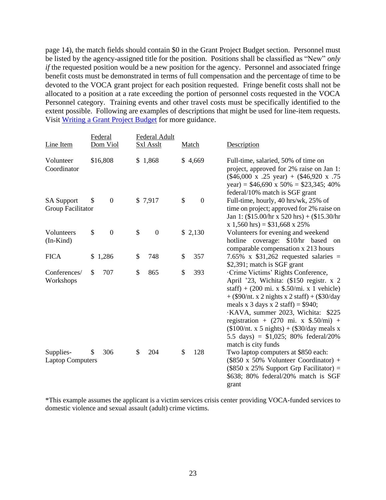page 14), the match fields should contain \$0 in the Grant Project Budget section. Personnel must be listed by the agency-assigned title for the position. Positions shall be classified as "New" *only if* the requested position would be a new position for the agency. Personnel and associated fringe benefit costs must be demonstrated in terms of full compensation and the percentage of time to be devoted to the VOCA grant project for each position requested. Fringe benefit costs shall not be allocated to a position at a rate exceeding the portion of personnel costs requested in the VOCA Personnel category. Training events and other travel costs must be specifically identified to the extent possible. Following are examples of descriptions that might be used for line-item requests. Visit [Writing a Grant Project Budget](https://grants.ks.gov/docs/default-source/how-to-guides/writing-a-grant-project-budget-guide.pdf?sfvrsn=2d1f541a_4) for more guidance.

| Line Item                              | Federal<br>Dom Viol    | Federal Adult<br><b>Sxl Asslt</b> | Match                | Description                                                                                                                                                                                                                                                                                                                                                                                                                                                     |
|----------------------------------------|------------------------|-----------------------------------|----------------------|-----------------------------------------------------------------------------------------------------------------------------------------------------------------------------------------------------------------------------------------------------------------------------------------------------------------------------------------------------------------------------------------------------------------------------------------------------------------|
| Volunteer<br>Coordinator               | \$16,808               | \$1,868                           | \$4,669              | Full-time, salaried, 50% of time on<br>project, approved for 2% raise on Jan 1:<br>$(\$46,000 \times .25 \text{ year}) + ($46,920 \times .75$<br>year) = $$46,690 \times 50\% = $23,345; 40\%$<br>federal/10% match is SGF grant                                                                                                                                                                                                                                |
| <b>SA Support</b><br>Group Facilitator | $\boldsymbol{0}$<br>\$ | \$7,917                           | \$<br>$\overline{0}$ | Full-time, hourly, 40 hrs/wk, 25% of<br>time on project; approved for 2% raise on<br>Jan 1: $(\$15.00/hr \times 520 hrs) + (\$15.30/hr$<br>$x 1,560$ hrs) = \$31,668 x 25%                                                                                                                                                                                                                                                                                      |
| Volunteers<br>$(In-Kind)$              | \$<br>$\boldsymbol{0}$ | \$<br>$\boldsymbol{0}$            | \$2,130              | Volunteers for evening and weekend<br>hotline coverage: \$10/hr based<br>on<br>comparable compensation x 213 hours                                                                                                                                                                                                                                                                                                                                              |
| <b>FICA</b>                            | \$1,286                | \$<br>748                         | 357<br>\$            | 7.65% x $$31,262$ requested salaries =<br>\$2,391; match is SGF grant                                                                                                                                                                                                                                                                                                                                                                                           |
| Conferences/<br>Workshops              | \$<br>707              | \$<br>865                         | \$<br>393            | ·Crime Victims' Rights Conference,<br>April '23, Wichita: (\$150 registr. x 2<br>staff) + $(200 \text{ mi. x } $.50/\text{mi. x } 1 \text{ vehicle})$<br>$+$ (\$90/nt. x 2 nights x 2 staff) + (\$30/day<br>meals x 3 days x 2 staff) = $$940;$<br>·KAVA, summer 2023, Wichita: \$225<br>registration + $(270 \text{ mi. x } $.50/\text{mi})$ +<br>$($100/nt. x 5 nights) + ($30/day meals x)$<br>5.5 days) = $$1,025$ ; 80% federal/20%<br>match is city funds |
| Supplies-<br><b>Laptop Computers</b>   | 306<br>\$.             | 204<br>\$                         | 128<br>\$            | Two laptop computers at \$850 each:<br>$(\$850 \times 50\%$ Volunteer Coordinator) +<br>$(\$850 \times 25\%$ Support Grp Facilitator) =<br>\$638; 80% federal/20% match is SGF<br>grant                                                                                                                                                                                                                                                                         |

\*This example assumes the applicant is a victim services crisis center providing VOCA-funded services to domestic violence and sexual assault (adult) crime victims.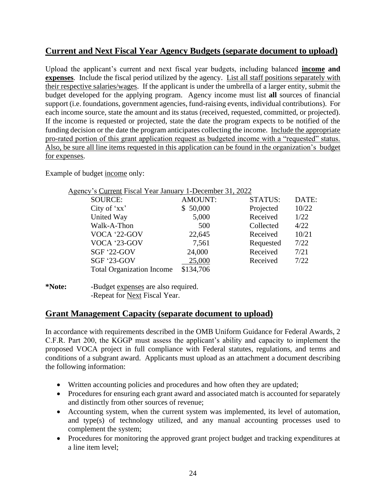# **Current and Next Fiscal Year Agency Budgets (separate document to upload)**

Upload the applicant's current and next fiscal year budgets, including balanced **income and expenses**. Include the fiscal period utilized by the agency. List all staff positions separately with their respective salaries/wages. If the applicant is under the umbrella of a larger entity, submit the budget developed for the applying program. Agency income must list **all** sources of financial support (i.e. foundations, government agencies, fund-raising events, individual contributions). For each income source, state the amount and its status (received, requested, committed, or projected). If the income is requested or projected, state the date the program expects to be notified of the funding decision or the date the program anticipates collecting the income. Include the appropriate pro-rated portion of this grant application request as budgeted income with a "requested" status. Also, be sure all line items requested in this application can be found in the organization's budget for expenses.

Example of budget income only:

| Agency's Current Fiscal Year January 1-December 31, 2022 |                |                |       |
|----------------------------------------------------------|----------------|----------------|-------|
| <b>SOURCE:</b>                                           | <b>AMOUNT:</b> | <b>STATUS:</b> | DATE: |
| City of 'xx'                                             | \$50,000       | Projected      | 10/22 |
| United Way                                               | 5,000          | Received       | 1/22  |
| Walk-A-Thon                                              | 500            | Collected      | 4/22  |
| VOCA '22-GOV                                             | 22,645         | Received       | 10/21 |
| VOCA '23-GOV                                             | 7,561          | Requested      | 7/22  |
| <b>SGF '22-GOV</b>                                       | 24,000         | Received       | 7/21  |
| SGF '23-GOV                                              | 25,000         | Received       | 7/22  |
| <b>Total Organization Income</b>                         | \$134,706      |                |       |

**<sup>\*</sup>Note:** -Budget expenses are also required. -Repeat for Next Fiscal Year.

#### **Grant Management Capacity (separate document to upload)**

In accordance with requirements described in the OMB Uniform Guidance for Federal Awards, 2 C.F.R. Part 200, the KGGP must assess the applicant's ability and capacity to implement the proposed VOCA project in full compliance with Federal statutes, regulations, and terms and conditions of a subgrant award. Applicants must upload as an attachment a document describing the following information:

- Written accounting policies and procedures and how often they are updated;
- Procedures for ensuring each grant award and associated match is accounted for separately and distinctly from other sources of revenue;
- Accounting system, when the current system was implemented, its level of automation, and type(s) of technology utilized, and any manual accounting processes used to complement the system;
- Procedures for monitoring the approved grant project budget and tracking expenditures at a line item level;